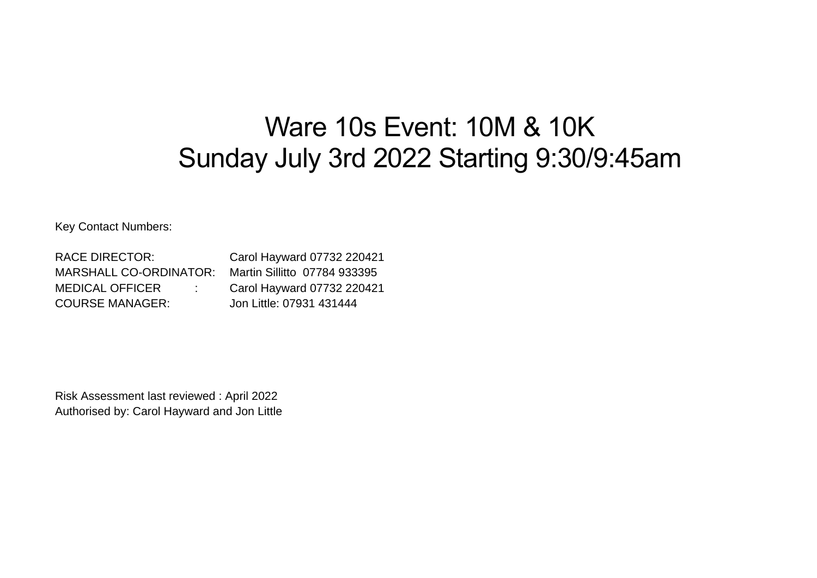## Ware 10s Event: 10M & 10K Sunday July 3rd 2022 Starting 9:30/9:45am

Key Contact Numbers:

RACE DIRECTOR: Carol Hayward 07732 220421 MARSHALL CO-ORDINATOR: Martin Sillitto 07784 933395 MEDICAL OFFICER : Carol Hayward 07732 220421 COURSE MANAGER: Jon Little: 07931 431444

Risk Assessment last reviewed : April 2022 Authorised by: Carol Hayward and Jon Little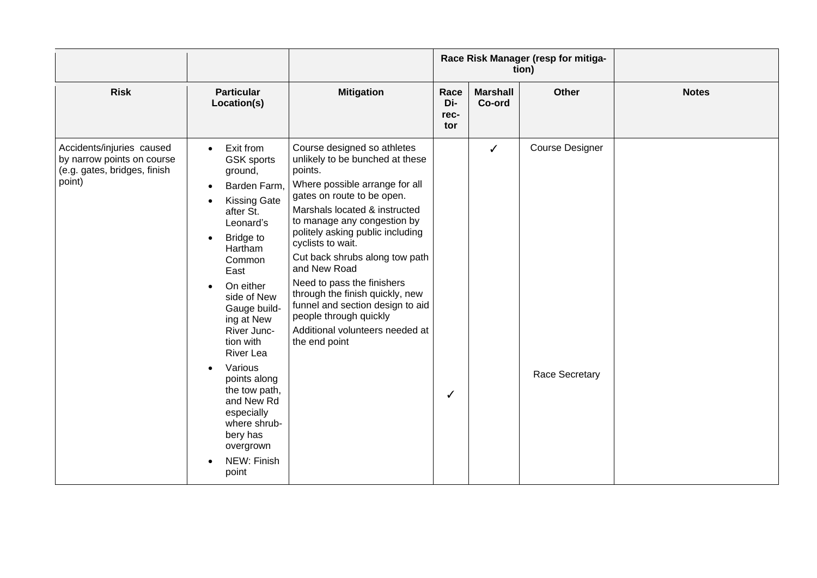|                                                                                                   |                                                                                                                                                                                                                                                                                                                                                                                                                                                       |                                                                                                                                                                                                                                                                                                                                                                                                                                                                                                         |                            |                           | Race Risk Manager (resp for mitiga-<br>tion) |              |
|---------------------------------------------------------------------------------------------------|-------------------------------------------------------------------------------------------------------------------------------------------------------------------------------------------------------------------------------------------------------------------------------------------------------------------------------------------------------------------------------------------------------------------------------------------------------|---------------------------------------------------------------------------------------------------------------------------------------------------------------------------------------------------------------------------------------------------------------------------------------------------------------------------------------------------------------------------------------------------------------------------------------------------------------------------------------------------------|----------------------------|---------------------------|----------------------------------------------|--------------|
| <b>Risk</b>                                                                                       | <b>Particular</b><br>Location(s)                                                                                                                                                                                                                                                                                                                                                                                                                      | <b>Mitigation</b>                                                                                                                                                                                                                                                                                                                                                                                                                                                                                       | Race<br>Di-<br>rec-<br>tor | <b>Marshall</b><br>Co-ord | <b>Other</b>                                 | <b>Notes</b> |
| Accidents/injuries caused<br>by narrow points on course<br>(e.g. gates, bridges, finish<br>point) | Exit from<br>$\bullet$<br><b>GSK</b> sports<br>ground,<br>Barden Farm,<br><b>Kissing Gate</b><br>after St.<br>Leonard's<br><b>Bridge to</b><br>$\bullet$<br>Hartham<br>Common<br>East<br>On either<br>side of New<br>Gauge build-<br>ing at New<br>River Junc-<br>tion with<br><b>River Lea</b><br>Various<br>$\bullet$<br>points along<br>the tow path,<br>and New Rd<br>especially<br>where shrub-<br>bery has<br>overgrown<br>NEW: Finish<br>point | Course designed so athletes<br>unlikely to be bunched at these<br>points.<br>Where possible arrange for all<br>gates on route to be open.<br>Marshals located & instructed<br>to manage any congestion by<br>politely asking public including<br>cyclists to wait.<br>Cut back shrubs along tow path<br>and New Road<br>Need to pass the finishers<br>through the finish quickly, new<br>funnel and section design to aid<br>people through quickly<br>Additional volunteers needed at<br>the end point | J                          | ✓                         | <b>Course Designer</b><br>Race Secretary     |              |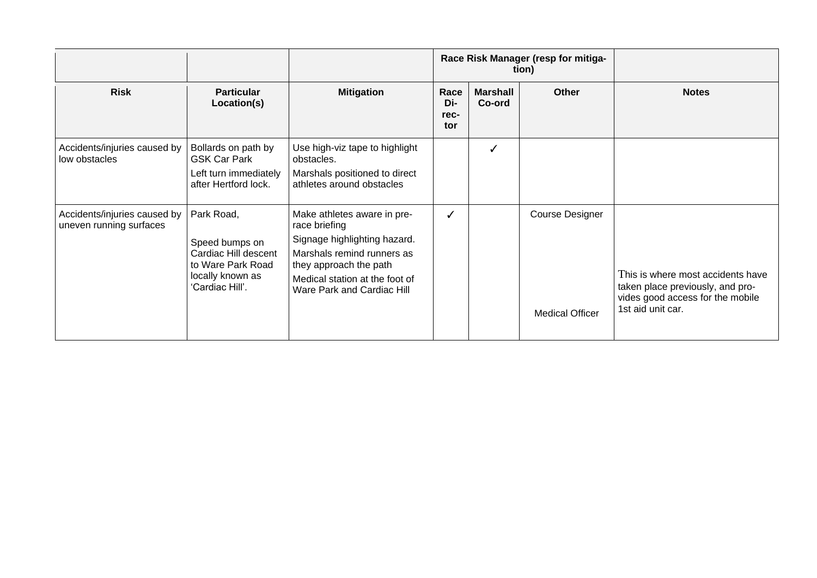|                                                         |                                                                                                                  | Race Risk Manager (resp for mitiga-<br>tion)                                                                                                                                                         |                            |                           |                                                  |                                                                                                                                |
|---------------------------------------------------------|------------------------------------------------------------------------------------------------------------------|------------------------------------------------------------------------------------------------------------------------------------------------------------------------------------------------------|----------------------------|---------------------------|--------------------------------------------------|--------------------------------------------------------------------------------------------------------------------------------|
| <b>Risk</b>                                             | <b>Particular</b><br>Location(s)                                                                                 | <b>Mitigation</b>                                                                                                                                                                                    | Race<br>Di-<br>rec-<br>tor | <b>Marshall</b><br>Co-ord | <b>Other</b>                                     | <b>Notes</b>                                                                                                                   |
| Accidents/injuries caused by<br>low obstacles           | Bollards on path by<br><b>GSK Car Park</b><br>Left turn immediately<br>after Hertford lock.                      | Use high-viz tape to highlight<br>obstacles.<br>Marshals positioned to direct<br>athletes around obstacles                                                                                           |                            |                           |                                                  |                                                                                                                                |
| Accidents/injuries caused by<br>uneven running surfaces | Park Road,<br>Speed bumps on<br>Cardiac Hill descent<br>to Ware Park Road<br>locally known as<br>'Cardiac Hill'. | Make athletes aware in pre-<br>race briefing<br>Signage highlighting hazard.<br>Marshals remind runners as<br>they approach the path<br>Medical station at the foot of<br>Ware Park and Cardiac Hill |                            |                           | <b>Course Designer</b><br><b>Medical Officer</b> | This is where most accidents have<br>taken place previously, and pro-<br>vides good access for the mobile<br>1st aid unit car. |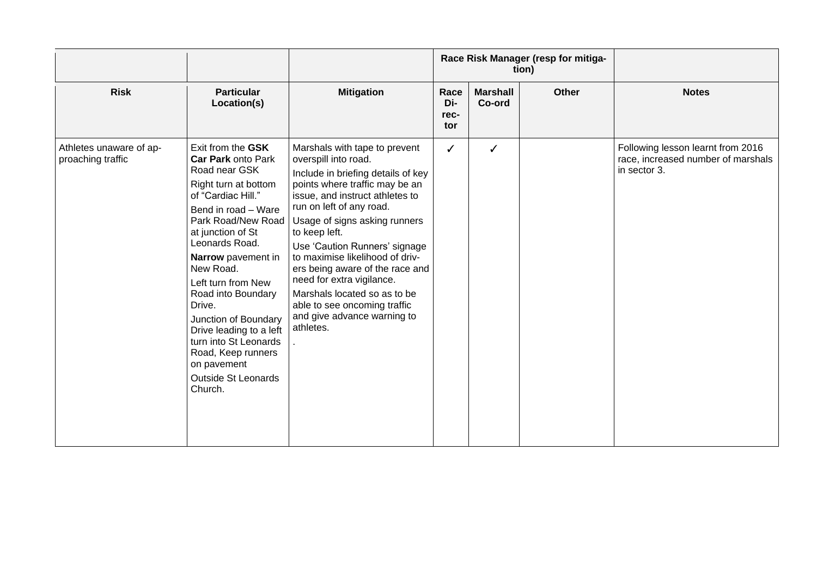|                                              |                                                                                                                                                                                                                                                                                                                                                                                                                                                      |                                                                                                                                                                                                                                                                                                                                                                                                                                                                                                |                            |                           | Race Risk Manager (resp for mitiga-<br>tion) |                                                                                         |
|----------------------------------------------|------------------------------------------------------------------------------------------------------------------------------------------------------------------------------------------------------------------------------------------------------------------------------------------------------------------------------------------------------------------------------------------------------------------------------------------------------|------------------------------------------------------------------------------------------------------------------------------------------------------------------------------------------------------------------------------------------------------------------------------------------------------------------------------------------------------------------------------------------------------------------------------------------------------------------------------------------------|----------------------------|---------------------------|----------------------------------------------|-----------------------------------------------------------------------------------------|
| <b>Risk</b>                                  | <b>Particular</b><br>Location(s)                                                                                                                                                                                                                                                                                                                                                                                                                     | <b>Mitigation</b>                                                                                                                                                                                                                                                                                                                                                                                                                                                                              | Race<br>Di-<br>rec-<br>tor | <b>Marshall</b><br>Co-ord | <b>Other</b>                                 | <b>Notes</b>                                                                            |
| Athletes unaware of ap-<br>proaching traffic | Exit from the GSK<br><b>Car Park onto Park</b><br>Road near GSK<br>Right turn at bottom<br>of "Cardiac Hill."<br>Bend in road - Ware<br>Park Road/New Road<br>at junction of St<br>Leonards Road.<br>Narrow pavement in<br>New Road.<br>Left turn from New<br>Road into Boundary<br>Drive.<br>Junction of Boundary<br>Drive leading to a left<br>turn into St Leonards<br>Road, Keep runners<br>on pavement<br><b>Outside St Leonards</b><br>Church. | Marshals with tape to prevent<br>overspill into road.<br>Include in briefing details of key<br>points where traffic may be an<br>issue, and instruct athletes to<br>run on left of any road.<br>Usage of signs asking runners<br>to keep left.<br>Use 'Caution Runners' signage<br>to maximise likelihood of driv-<br>ers being aware of the race and<br>need for extra vigilance.<br>Marshals located so as to be<br>able to see oncoming traffic<br>and give advance warning to<br>athletes. | ✓                          | ✓                         |                                              | Following lesson learnt from 2016<br>race, increased number of marshals<br>in sector 3. |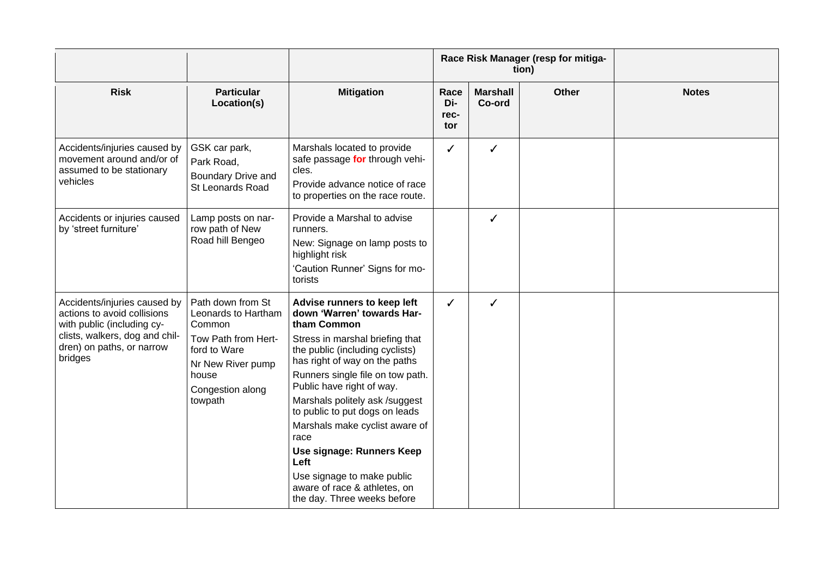|                                                                                                                                                                     |                                                                                                                                                        |                                                                                                                                                                                                                                                                                                                                                                                                                                                                                                  |                            |                           | Race Risk Manager (resp for mitiga-<br>tion) |              |
|---------------------------------------------------------------------------------------------------------------------------------------------------------------------|--------------------------------------------------------------------------------------------------------------------------------------------------------|--------------------------------------------------------------------------------------------------------------------------------------------------------------------------------------------------------------------------------------------------------------------------------------------------------------------------------------------------------------------------------------------------------------------------------------------------------------------------------------------------|----------------------------|---------------------------|----------------------------------------------|--------------|
| <b>Risk</b>                                                                                                                                                         | <b>Particular</b><br>Location(s)                                                                                                                       | <b>Mitigation</b>                                                                                                                                                                                                                                                                                                                                                                                                                                                                                | Race<br>Di-<br>rec-<br>tor | <b>Marshall</b><br>Co-ord | <b>Other</b>                                 | <b>Notes</b> |
| Accidents/injuries caused by<br>movement around and/or of<br>assumed to be stationary<br>vehicles                                                                   | GSK car park,<br>Park Road,<br>Boundary Drive and<br>St Leonards Road                                                                                  | Marshals located to provide<br>safe passage for through vehi-<br>cles.<br>Provide advance notice of race<br>to properties on the race route.                                                                                                                                                                                                                                                                                                                                                     | ✓                          | ✓                         |                                              |              |
| Accidents or injuries caused<br>by 'street furniture'                                                                                                               | Lamp posts on nar-<br>row path of New<br>Road hill Bengeo                                                                                              | Provide a Marshal to advise<br>runners.<br>New: Signage on lamp posts to<br>highlight risk<br>'Caution Runner' Signs for mo-<br>torists                                                                                                                                                                                                                                                                                                                                                          |                            | ✓                         |                                              |              |
| Accidents/injuries caused by<br>actions to avoid collisions<br>with public (including cy-<br>clists, walkers, dog and chil-<br>dren) on paths, or narrow<br>bridges | Path down from St<br>Leonards to Hartham<br>Common<br>Tow Path from Hert-<br>ford to Ware<br>Nr New River pump<br>house<br>Congestion along<br>towpath | Advise runners to keep left<br>down 'Warren' towards Har-<br>tham Common<br>Stress in marshal briefing that<br>the public (including cyclists)<br>has right of way on the paths<br>Runners single file on tow path.<br>Public have right of way.<br>Marshals politely ask /suggest<br>to public to put dogs on leads<br>Marshals make cyclist aware of<br>race<br>Use signage: Runners Keep<br>Left<br>Use signage to make public<br>aware of race & athletes, on<br>the day. Three weeks before | ✓                          | ✓                         |                                              |              |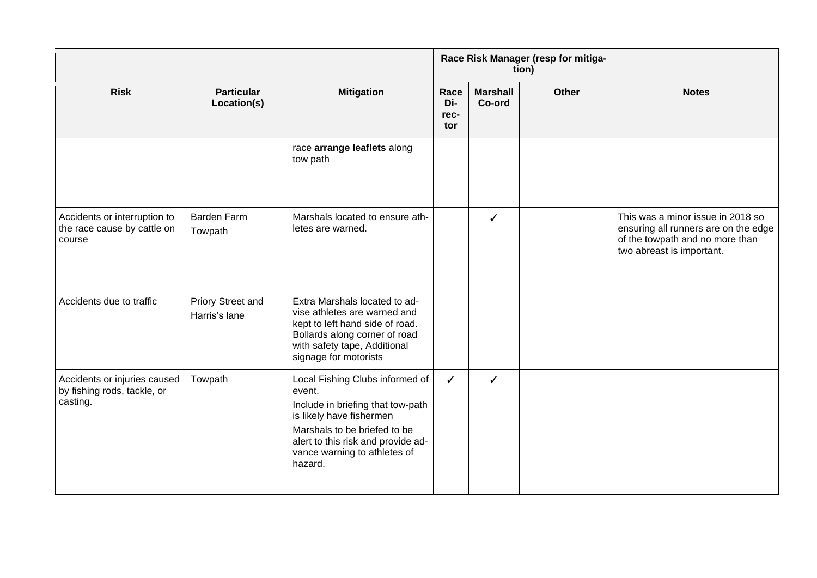|                                                                         |                                    |                                                                                                                                                                                                                             | Race Risk Manager (resp for mitiga-<br>tion) |                           |              |                                                                                                                                           |
|-------------------------------------------------------------------------|------------------------------------|-----------------------------------------------------------------------------------------------------------------------------------------------------------------------------------------------------------------------------|----------------------------------------------|---------------------------|--------------|-------------------------------------------------------------------------------------------------------------------------------------------|
| <b>Risk</b>                                                             | <b>Particular</b><br>Location(s)   | <b>Mitigation</b>                                                                                                                                                                                                           | Race<br>Di-<br>rec-<br>tor                   | <b>Marshall</b><br>Co-ord | <b>Other</b> | <b>Notes</b>                                                                                                                              |
|                                                                         |                                    | race arrange leaflets along<br>tow path                                                                                                                                                                                     |                                              |                           |              |                                                                                                                                           |
| Accidents or interruption to<br>the race cause by cattle on<br>course   | <b>Barden Farm</b><br>Towpath      | Marshals located to ensure ath-<br>letes are warned.                                                                                                                                                                        |                                              | ✓                         |              | This was a minor issue in 2018 so<br>ensuring all runners are on the edge<br>of the towpath and no more than<br>two abreast is important. |
| Accidents due to traffic                                                | Priory Street and<br>Harris's lane | Extra Marshals located to ad-<br>vise athletes are warned and<br>kept to left hand side of road.<br>Bollards along corner of road<br>with safety tape, Additional<br>signage for motorists                                  |                                              |                           |              |                                                                                                                                           |
| Accidents or injuries caused<br>by fishing rods, tackle, or<br>casting. | Towpath                            | Local Fishing Clubs informed of<br>event.<br>Include in briefing that tow-path<br>is likely have fishermen<br>Marshals to be briefed to be<br>alert to this risk and provide ad-<br>vance warning to athletes of<br>hazard. | ✓                                            | ✓                         |              |                                                                                                                                           |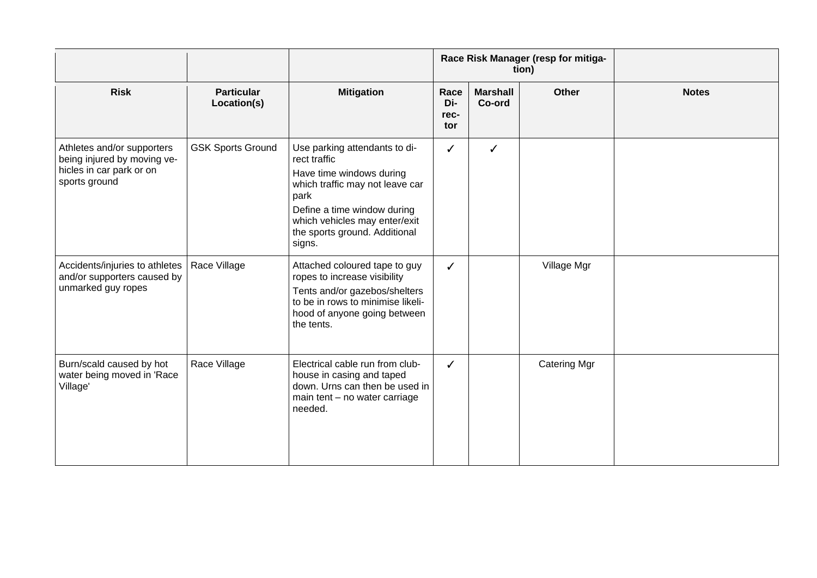|                                                                                                        |                                  |                                                                                                                                                                                                                                 | Race Risk Manager (resp for mitiga-<br>tion) |                           |                     |              |  |
|--------------------------------------------------------------------------------------------------------|----------------------------------|---------------------------------------------------------------------------------------------------------------------------------------------------------------------------------------------------------------------------------|----------------------------------------------|---------------------------|---------------------|--------------|--|
| <b>Risk</b>                                                                                            | <b>Particular</b><br>Location(s) | <b>Mitigation</b>                                                                                                                                                                                                               | Race<br>Di-<br>rec-<br>tor                   | <b>Marshall</b><br>Co-ord | <b>Other</b>        | <b>Notes</b> |  |
| Athletes and/or supporters<br>being injured by moving ve-<br>hicles in car park or on<br>sports ground | <b>GSK Sports Ground</b>         | Use parking attendants to di-<br>rect traffic<br>Have time windows during<br>which traffic may not leave car<br>park<br>Define a time window during<br>which vehicles may enter/exit<br>the sports ground. Additional<br>signs. |                                              | ✓                         |                     |              |  |
| Accidents/injuries to athletes<br>and/or supporters caused by<br>unmarked guy ropes                    | Race Village                     | Attached coloured tape to guy<br>ropes to increase visibility<br>Tents and/or gazebos/shelters<br>to be in rows to minimise likeli-<br>hood of anyone going between<br>the tents.                                               | ✓                                            |                           | Village Mgr         |              |  |
| Burn/scald caused by hot<br>water being moved in 'Race<br>Village'                                     | Race Village                     | Electrical cable run from club-<br>house in casing and taped<br>down. Urns can then be used in<br>main tent - no water carriage<br>needed.                                                                                      | ✓                                            |                           | <b>Catering Mgr</b> |              |  |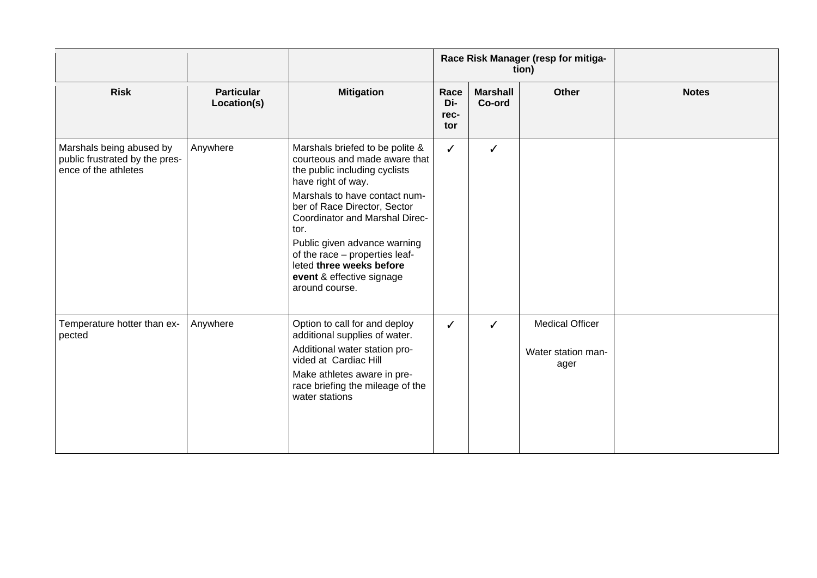|                                                                                    |                                  | Race Risk Manager (resp for mitiga-<br>tion)                                                                                                                                                                                                                                                                                                                                    |                            |                           |                                                      |              |
|------------------------------------------------------------------------------------|----------------------------------|---------------------------------------------------------------------------------------------------------------------------------------------------------------------------------------------------------------------------------------------------------------------------------------------------------------------------------------------------------------------------------|----------------------------|---------------------------|------------------------------------------------------|--------------|
| <b>Risk</b>                                                                        | <b>Particular</b><br>Location(s) | <b>Mitigation</b>                                                                                                                                                                                                                                                                                                                                                               | Race<br>Di-<br>rec-<br>tor | <b>Marshall</b><br>Co-ord | <b>Other</b>                                         | <b>Notes</b> |
| Marshals being abused by<br>public frustrated by the pres-<br>ence of the athletes | Anywhere                         | Marshals briefed to be polite &<br>courteous and made aware that<br>the public including cyclists<br>have right of way.<br>Marshals to have contact num-<br>ber of Race Director, Sector<br>Coordinator and Marshal Direc-<br>tor.<br>Public given advance warning<br>of the race - properties leaf-<br>leted three weeks before<br>event & effective signage<br>around course. | ✓                          | ✓                         |                                                      |              |
| Temperature hotter than ex-<br>pected                                              | Anywhere                         | Option to call for and deploy<br>additional supplies of water.<br>Additional water station pro-<br>vided at Cardiac Hill<br>Make athletes aware in pre-<br>race briefing the mileage of the<br>water stations                                                                                                                                                                   |                            | ✓                         | <b>Medical Officer</b><br>Water station man-<br>ager |              |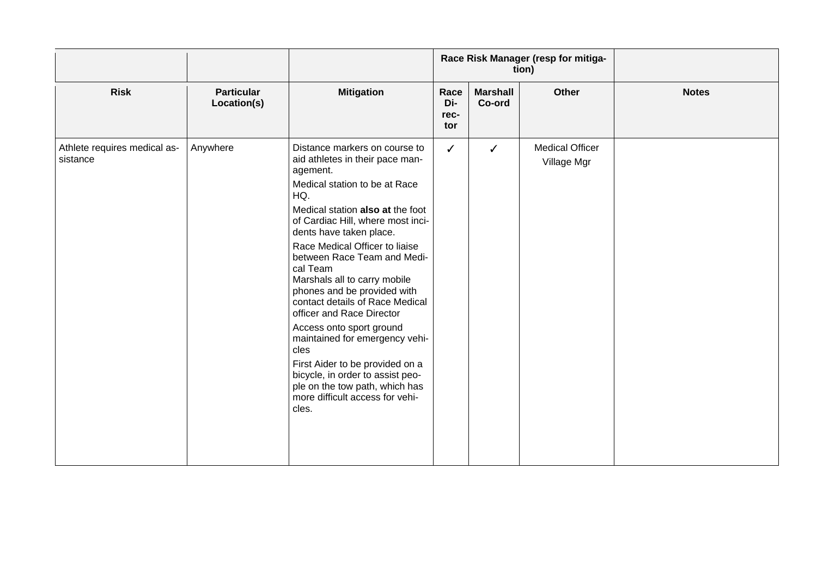|                                          |                                  |                                                                                                                                                                                                                                                                                                                                                                                                                                                                                                                                                                                                                                                                 |                            |                           | Race Risk Manager (resp for mitiga-<br>tion) |              |
|------------------------------------------|----------------------------------|-----------------------------------------------------------------------------------------------------------------------------------------------------------------------------------------------------------------------------------------------------------------------------------------------------------------------------------------------------------------------------------------------------------------------------------------------------------------------------------------------------------------------------------------------------------------------------------------------------------------------------------------------------------------|----------------------------|---------------------------|----------------------------------------------|--------------|
| <b>Risk</b>                              | <b>Particular</b><br>Location(s) | <b>Mitigation</b>                                                                                                                                                                                                                                                                                                                                                                                                                                                                                                                                                                                                                                               | Race<br>Di-<br>rec-<br>tor | <b>Marshall</b><br>Co-ord | Other                                        | <b>Notes</b> |
| Athlete requires medical as-<br>sistance | Anywhere                         | Distance markers on course to<br>aid athletes in their pace man-<br>agement.<br>Medical station to be at Race<br>HQ.<br>Medical station also at the foot<br>of Cardiac Hill, where most inci-<br>dents have taken place.<br>Race Medical Officer to liaise<br>between Race Team and Medi-<br>cal Team<br>Marshals all to carry mobile<br>phones and be provided with<br>contact details of Race Medical<br>officer and Race Director<br>Access onto sport ground<br>maintained for emergency vehi-<br>cles<br>First Aider to be provided on a<br>bicycle, in order to assist peo-<br>ple on the tow path, which has<br>more difficult access for vehi-<br>cles. | ✓                          | $\checkmark$              | <b>Medical Officer</b><br>Village Mgr        |              |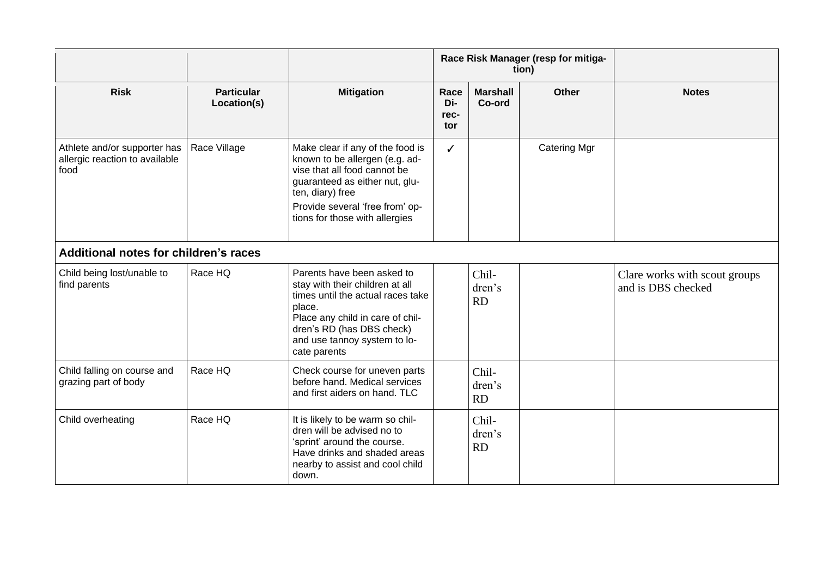|                                                                        |                                  |                                                                                                                                                                                                                               | Race Risk Manager (resp for mitiga-<br>tion) |                              |                     |                                                     |
|------------------------------------------------------------------------|----------------------------------|-------------------------------------------------------------------------------------------------------------------------------------------------------------------------------------------------------------------------------|----------------------------------------------|------------------------------|---------------------|-----------------------------------------------------|
| <b>Risk</b>                                                            | <b>Particular</b><br>Location(s) | <b>Mitigation</b>                                                                                                                                                                                                             | Race<br>Di-<br>rec-<br>tor                   | <b>Marshall</b><br>Co-ord    | <b>Other</b>        | <b>Notes</b>                                        |
| Athlete and/or supporter has<br>allergic reaction to available<br>food | Race Village                     | Make clear if any of the food is<br>known to be allergen (e.g. ad-<br>vise that all food cannot be<br>guaranteed as either nut, glu-<br>ten, diary) free<br>Provide several 'free from' op-<br>tions for those with allergies | ✓                                            |                              | <b>Catering Mgr</b> |                                                     |
| Additional notes for children's races                                  |                                  |                                                                                                                                                                                                                               |                                              |                              |                     |                                                     |
| Child being lost/unable to<br>find parents                             | Race HQ                          | Parents have been asked to<br>stay with their children at all<br>times until the actual races take<br>place.<br>Place any child in care of chil-<br>dren's RD (has DBS check)<br>and use tannoy system to lo-<br>cate parents |                                              | Chil-<br>dren's<br><b>RD</b> |                     | Clare works with scout groups<br>and is DBS checked |
| Child falling on course and<br>grazing part of body                    | Race HQ                          | Check course for uneven parts<br>before hand. Medical services<br>and first aiders on hand. TLC                                                                                                                               |                                              | Chil-<br>dren's<br><b>RD</b> |                     |                                                     |
| Child overheating                                                      | Race HQ                          | It is likely to be warm so chil-<br>dren will be advised no to<br>'sprint' around the course.<br>Have drinks and shaded areas<br>nearby to assist and cool child<br>down.                                                     |                                              | Chil-<br>dren's<br><b>RD</b> |                     |                                                     |